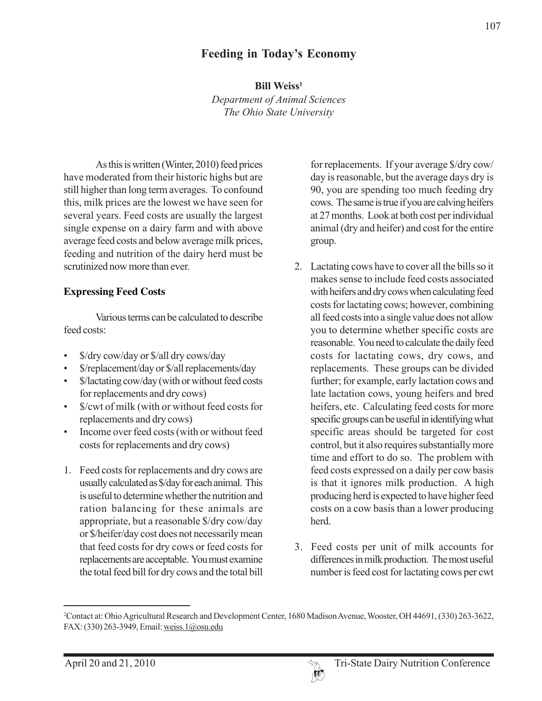# **Feeding in Today's Economy**

**Bill Weiss<sup>1</sup>** 

*Department of Animal Sciences The Ohio State University*

As this is written (Winter, 2010) feed prices have moderated from their historic highs but are still higher than long term averages. To confound this, milk prices are the lowest we have seen for several years. Feed costs are usually the largest single expense on a dairy farm and with above average feed costs and below average milk prices, feeding and nutrition of the dairy herd must be scrutinized now more than ever.

### **Expressing Feed Costs**

Various terms can be calculated to describe feed costs:

- \$/dry cow/day or \$/all dry cows/day
- \$/replacement/day or \$/all replacements/day
- \$/lactating cow/day (with or without feed costs for replacements and dry cows)
- \$/cwt of milk (with or without feed costs for replacements and dry cows)
- Income over feed costs (with or without feed costs for replacements and dry cows)
- 1. Feed costs for replacements and dry cows are usually calculated as \$/day for each animal. This is useful to determine whether the nutrition and ration balancing for these animals are appropriate, but a reasonable \$/dry cow/day or \$/heifer/day cost does not necessarily mean that feed costs for dry cows or feed costs for replacements are acceptable. You must examine the total feed bill for dry cows and the total bill

for replacements. If your average \$/dry cow/ day is reasonable, but the average days dry is 90, you are spending too much feeding dry cows. The same is true if you are calving heifers at 27 months. Look at both cost per individual animal (dry and heifer) and cost for the entire group.

- 2. Lactating cows have to cover all the bills so it makes sense to include feed costs associated with heifers and dry cows when calculating feed costs for lactating cows; however, combining all feed costs into a single value does not allow you to determine whether specific costs are reasonable. You need to calculate the daily feed costs for lactating cows, dry cows, and replacements. These groups can be divided further; for example, early lactation cows and late lactation cows, young heifers and bred heifers, etc. Calculating feed costs for more specific groups can be useful in identifying what specific areas should be targeted for cost control, but it also requires substantially more time and effort to do so. The problem with feed costs expressed on a daily per cow basis is that it ignores milk production. A high producing herd is expected to have higher feed costs on a cow basis than a lower producing herd.
- 3. Feed costs per unit of milk accounts for differences in milk production. The most useful number is feed cost for lactating cows per cwt

<sup>2</sup> Contact at: Ohio Agricultural Research and Development Center, 1680 Madison Avenue, Wooster, OH 44691, (330) 263-3622, FAX: (330) 263-3949, Email: weiss.1@osu.edu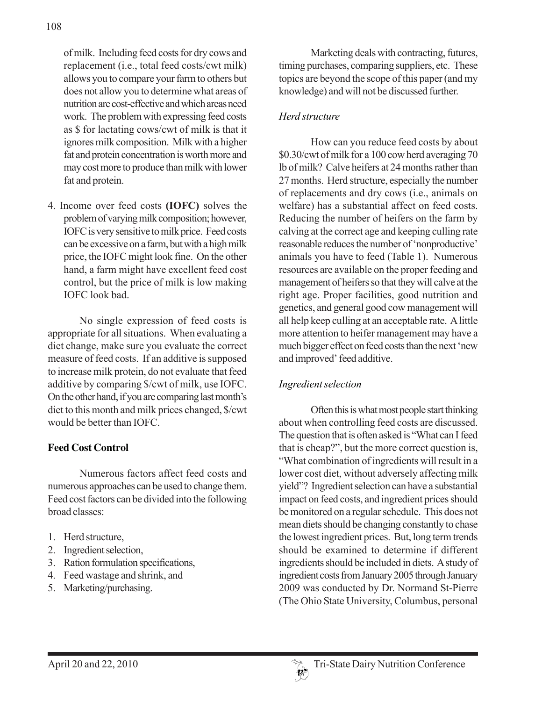of milk. Including feed costs for dry cows and replacement (i.e., total feed costs/cwt milk) allows you to compare your farm to others but does not allow you to determine what areas of nutrition are cost-effective and which areas need work. The problem with expressing feed costs as \$ for lactating cows/cwt of milk is that it ignores milk composition. Milk with a higher fat and protein concentration is worth more and may cost more to produce than milk with lower fat and protein.

4. Income over feed costs **(IOFC)** solves the problem of varying milk composition; however, IOFC is very sensitive to milk price. Feed costs can be excessive on a farm, but with a high milk price, the IOFC might look fine. On the other hand, a farm might have excellent feed cost control, but the price of milk is low making IOFC look bad.

No single expression of feed costs is appropriate for all situations. When evaluating a diet change, make sure you evaluate the correct measure of feed costs. If an additive is supposed to increase milk protein, do not evaluate that feed additive by comparing \$/cwt of milk, use IOFC. On the other hand, if you are comparing last month's diet to this month and milk prices changed, \$/cwt would be better than IOFC.

### **Feed Cost Control**

Numerous factors affect feed costs and numerous approaches can be used to change them. Feed cost factors can be divided into the following broad classes:

- 1. Herd structure,
- 2. Ingredient selection,
- 3. Ration formulation specifications,
- 4. Feed wastage and shrink, and
- 5. Marketing/purchasing.

Marketing deals with contracting, futures, timing purchases, comparing suppliers, etc. These topics are beyond the scope of this paper (and my knowledge) and will not be discussed further.

## *Herd structure*

How can you reduce feed costs by about \$0.30/cwt of milk for a 100 cow herd averaging 70 lb of milk? Calve heifers at 24 months rather than 27 months. Herd structure, especially the number of replacements and dry cows (i.e., animals on welfare) has a substantial affect on feed costs. Reducing the number of heifers on the farm by calving at the correct age and keeping culling rate reasonable reduces the number of 'nonproductive' animals you have to feed (Table 1). Numerous resources are available on the proper feeding and management of heifers so that they will calve at the right age. Proper facilities, good nutrition and genetics, and general good cow management will all help keep culling at an acceptable rate. A little more attention to heifer management may have a much bigger effect on feed costs than the next 'new and improved' feed additive.

# *Ingredient selection*

Often this is what most people start thinking about when controlling feed costs are discussed. The question that is often asked is "What can I feed that is cheap?", but the more correct question is, "What combination of ingredients will result in a lower cost diet, without adversely affecting milk yield"? Ingredient selection can have a substantial impact on feed costs, and ingredient prices should be monitored on a regular schedule. This does not mean diets should be changing constantly to chase the lowest ingredient prices. But, long term trends should be examined to determine if different ingredients should be included in diets. A study of ingredient costs from January 2005 through January 2009 was conducted by Dr. Normand St-Pierre (The Ohio State University, Columbus, personal

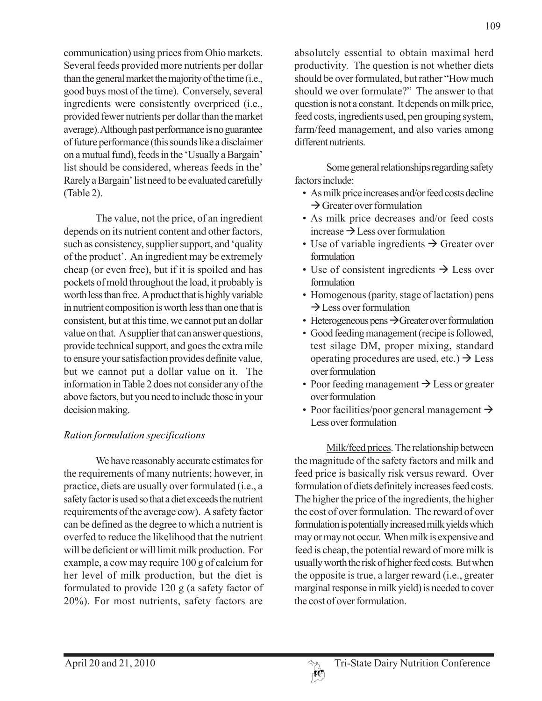communication) using prices from Ohio markets. Several feeds provided more nutrients per dollar than the general market the majority of the time (i.e., good buys most of the time). Conversely, several ingredients were consistently overpriced (i.e., provided fewer nutrients per dollar than the market average). Although past performance is no guarantee of future performance (this sounds like a disclaimer on a mutual fund), feeds in the 'Usually a Bargain' list should be considered, whereas feeds in the' Rarely a Bargain' list need to be evaluated carefully (Table 2).

The value, not the price, of an ingredient depends on its nutrient content and other factors, such as consistency, supplier support, and 'quality of the product'. An ingredient may be extremely cheap (or even free), but if it is spoiled and has pockets of mold throughout the load, it probably is worth less than free. A product that is highly variable in nutrient composition is worth less than one that is consistent, but at this time, we cannot put an dollar value on that. A supplier that can answer questions, provide technical support, and goes the extra mile to ensure your satisfaction provides definite value, but we cannot put a dollar value on it. The information in Table 2 does not consider any of the above factors, but you need to include those in your decision making.

## *Ration formulation specifications*

We have reasonably accurate estimates for the requirements of many nutrients; however, in practice, diets are usually over formulated (i.e., a safety factor is used so that a diet exceeds the nutrient requirements of the average cow). A safety factor can be defined as the degree to which a nutrient is overfed to reduce the likelihood that the nutrient will be deficient or will limit milk production. For example, a cow may require 100 g of calcium for her level of milk production, but the diet is formulated to provide 120 g (a safety factor of 20%). For most nutrients, safety factors are

absolutely essential to obtain maximal herd productivity. The question is not whether diets should be over formulated, but rather "How much should we over formulate?" The answer to that question is not a constant. It depends on milk price, feed costs, ingredients used, pen grouping system, farm/feed management, and also varies among different nutrients.

Some general relationships regarding safety factors include:

- As milk price increases and/or feed costs decline  $\rightarrow$  Greater over formulation
- As milk price decreases and/or feed costs increase  $\rightarrow$  Less over formulation
- Use of variable ingredients  $\rightarrow$  Greater over formulation
- Use of consistent ingredients  $\rightarrow$  Less over formulation
- Homogenous (parity, stage of lactation) pens  $\rightarrow$  Less over formulation
- Heterogeneous pens  $\rightarrow$  Greater over formulation
- Good feeding management (recipe is followed, test silage DM, proper mixing, standard operating procedures are used, etc.)  $\rightarrow$  Less over formulation
- Poor feeding management  $\rightarrow$  Less or greater over formulation
- Poor facilities/poor general management  $\rightarrow$ Less over formulation

Milk/feed prices. The relationship between the magnitude of the safety factors and milk and feed price is basically risk versus reward. Over formulation of diets definitely increases feed costs. The higher the price of the ingredients, the higher the cost of over formulation. The reward of over formulation is potentially increased milk yields which may or may not occur. When milk is expensive and feed is cheap, the potential reward of more milk is usually worth the risk of higher feed costs. But when the opposite is true, a larger reward (i.e., greater marginal response in milk yield) is needed to cover the cost of over formulation.

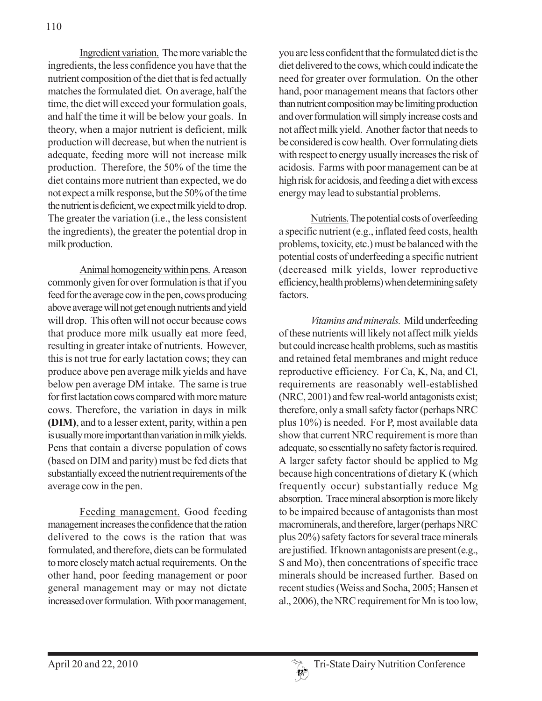Ingredient variation. The more variable the ingredients, the less confidence you have that the nutrient composition of the diet that is fed actually matches the formulated diet. On average, half the time, the diet will exceed your formulation goals, and half the time it will be below your goals. In theory, when a major nutrient is deficient, milk production will decrease, but when the nutrient is adequate, feeding more will not increase milk production. Therefore, the 50% of the time the diet contains more nutrient than expected, we do not expect a milk response, but the 50% of the time the nutrient is deficient, we expect milk yield to drop. The greater the variation (i.e., the less consistent the ingredients), the greater the potential drop in milk production.

Animal homogeneity within pens. A reason commonly given for over formulation is that if you feed for the average cow in the pen, cows producing above average will not get enough nutrients and yield will drop. This often will not occur because cows that produce more milk usually eat more feed, resulting in greater intake of nutrients. However, this is not true for early lactation cows; they can produce above pen average milk yields and have below pen average DM intake. The same is true for first lactation cows compared with more mature cows. Therefore, the variation in days in milk **(DIM)**, and to a lesser extent, parity, within a pen is usually more important than variation in milk yields. Pens that contain a diverse population of cows (based on DIM and parity) must be fed diets that substantially exceed the nutrient requirements of the average cow in the pen.

Feeding management. Good feeding management increases the confidence that the ration delivered to the cows is the ration that was formulated, and therefore, diets can be formulated to more closely match actual requirements. On the other hand, poor feeding management or poor general management may or may not dictate increased over formulation. With poor management,

you are less confident that the formulated diet is the diet delivered to the cows, which could indicate the need for greater over formulation. On the other hand, poor management means that factors other than nutrient composition may be limiting production and over formulation will simply increase costs and not affect milk yield. Another factor that needs to be considered is cow health. Over formulating diets with respect to energy usually increases the risk of acidosis. Farms with poor management can be at high risk for acidosis, and feeding a diet with excess energy may lead to substantial problems.

Nutrients. The potential costs of overfeeding a specific nutrient (e.g., inflated feed costs, health problems, toxicity, etc.) must be balanced with the potential costs of underfeeding a specific nutrient (decreased milk yields, lower reproductive efficiency, health problems) when determining safety factors.

*Vitamins and minerals.* Mild underfeeding of these nutrients will likely not affect milk yields but could increase health problems, such as mastitis and retained fetal membranes and might reduce reproductive efficiency. For Ca, K, Na, and Cl, requirements are reasonably well-established (NRC, 2001) and few real-world antagonists exist; therefore, only a small safety factor (perhaps NRC plus 10%) is needed. For P, most available data show that current NRC requirement is more than adequate, so essentially no safety factor is required. A larger safety factor should be applied to Mg because high concentrations of dietary K (which frequently occur) substantially reduce Mg absorption. Trace mineral absorption is more likely to be impaired because of antagonists than most macrominerals, and therefore, larger (perhaps NRC plus 20%) safety factors for several trace minerals are justified. If known antagonists are present (e.g., S and Mo), then concentrations of specific trace minerals should be increased further. Based on recent studies (Weiss and Socha, 2005; Hansen et al., 2006), the NRC requirement for Mn is too low,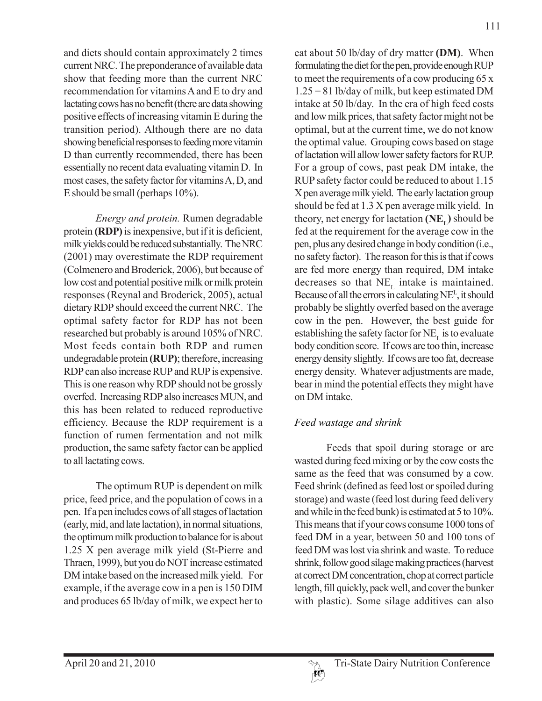111

and diets should contain approximately 2 times current NRC. The preponderance of available data show that feeding more than the current NRC recommendation for vitamins A and E to dry and lactating cows has no benefit (there are data showing positive effects of increasing vitamin E during the transition period). Although there are no data showing beneficial responses to feeding more vitamin D than currently recommended, there has been essentially no recent data evaluating vitamin D. In most cases, the safety factor for vitamins A, D, and E should be small (perhaps 10%).

*Energy and protein.* Rumen degradable protein **(RDP)** is inexpensive, but if it is deficient, milk yields could be reduced substantially. The NRC (2001) may overestimate the RDP requirement (Colmenero and Broderick, 2006), but because of low cost and potential positive milk or milk protein responses (Reynal and Broderick, 2005), actual dietary RDP should exceed the current NRC. The optimal safety factor for RDP has not been researched but probably is around 105% of NRC. Most feeds contain both RDP and rumen undegradable protein **(RUP)**; therefore, increasing RDP can also increase RUP and RUP is expensive. This is one reason why RDP should not be grossly overfed. Increasing RDP also increases MUN, and this has been related to reduced reproductive efficiency. Because the RDP requirement is a function of rumen fermentation and not milk production, the same safety factor can be applied to all lactating cows.

The optimum RUP is dependent on milk price, feed price, and the population of cows in a pen. If a pen includes cows of all stages of lactation (early, mid, and late lactation), in normal situations, the optimum milk production to balance for is about 1.25 X pen average milk yield (St-Pierre and Thraen, 1999), but you do NOT increase estimated DM intake based on the increased milk yield. For example, if the average cow in a pen is 150 DIM and produces 65 lb/day of milk, we expect her to

eat about 50 lb/day of dry matter **(DM)**. When formulating the diet for the pen, provide enough RUP to meet the requirements of a cow producing 65 x 1.25 = 81 lb/day of milk, but keep estimated DM intake at 50 lb/day. In the era of high feed costs and low milk prices, that safety factor might not be optimal, but at the current time, we do not know the optimal value. Grouping cows based on stage of lactation will allow lower safety factors for RUP. For a group of cows, past peak DM intake, the RUP safety factor could be reduced to about 1.15 X pen average milk yield. The early lactation group should be fed at 1.3 X pen average milk yield. In theory, net energy for lactation  $(NE<sub>r</sub>)$  should be fed at the requirement for the average cow in the pen, plus any desired change in body condition (i.e., no safety factor). The reason for this is that if cows are fed more energy than required, DM intake decreases so that  $NE_{\tau}$  intake is maintained. Because of all the errors in calculating NEL , it should probably be slightly overfed based on the average cow in the pen. However, the best guide for establishing the safety factor for  $NE<sub>L</sub>$  is to evaluate body condition score. If cows are too thin, increase energy density slightly. If cows are too fat, decrease energy density. Whatever adjustments are made, bear in mind the potential effects they might have on DM intake.

## *Feed wastage and shrink*

Feeds that spoil during storage or are wasted during feed mixing or by the cow costs the same as the feed that was consumed by a cow. Feed shrink (defined as feed lost or spoiled during storage) and waste (feed lost during feed delivery and while in the feed bunk) is estimated at 5 to 10%. This means that if your cows consume 1000 tons of feed DM in a year, between 50 and 100 tons of feed DM was lost via shrink and waste. To reduce shrink, follow good silage making practices (harvest at correct DM concentration, chop at correct particle length, fill quickly, pack well, and cover the bunker with plastic). Some silage additives can also

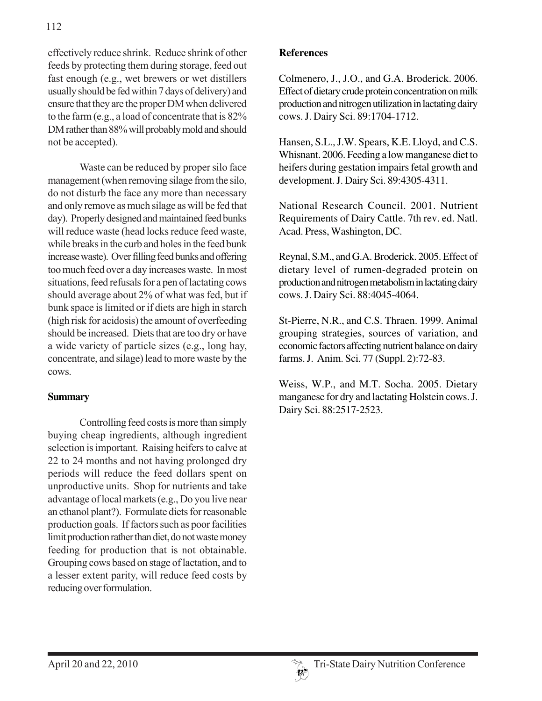effectively reduce shrink. Reduce shrink of other feeds by protecting them during storage, feed out fast enough (e.g., wet brewers or wet distillers usually should be fed within 7 days of delivery) and ensure that they are the proper DM when delivered to the farm (e.g., a load of concentrate that is 82% DM rather than 88% will probably mold and should not be accepted).

Waste can be reduced by proper silo face management (when removing silage from the silo, do not disturb the face any more than necessary and only remove as much silage as will be fed that day). Properly designed and maintained feed bunks will reduce waste (head locks reduce feed waste, while breaks in the curb and holes in the feed bunk increase waste). Over filling feed bunks and offering too much feed over a day increases waste. In most situations, feed refusals for a pen of lactating cows should average about 2% of what was fed, but if bunk space is limited or if diets are high in starch (high risk for acidosis) the amount of overfeeding should be increased. Diets that are too dry or have a wide variety of particle sizes (e.g., long hay, concentrate, and silage) lead to more waste by the cows.

### **Summary**

Controlling feed costs is more than simply buying cheap ingredients, although ingredient selection is important. Raising heifers to calve at 22 to 24 months and not having prolonged dry periods will reduce the feed dollars spent on unproductive units. Shop for nutrients and take advantage of local markets (e.g., Do you live near an ethanol plant?). Formulate diets for reasonable production goals. If factors such as poor facilities limit production rather than diet, do not waste money feeding for production that is not obtainable. Grouping cows based on stage of lactation, and to a lesser extent parity, will reduce feed costs by reducing over formulation.

#### **References**

Colmenero, J., J.O., and G.A. Broderick. 2006. Effect of dietary crude protein concentration on milk production and nitrogen utilization in lactating dairy cows. J. Dairy Sci. 89:1704-1712.

Hansen, S.L., J.W. Spears, K.E. Lloyd, and C.S. Whisnant. 2006. Feeding a low manganese diet to heifers during gestation impairs fetal growth and development. J. Dairy Sci. 89:4305-4311.

National Research Council. 2001. Nutrient Requirements of Dairy Cattle. 7th rev. ed. Natl. Acad. Press, Washington, DC.

Reynal, S.M., and G.A. Broderick. 2005. Effect of dietary level of rumen-degraded protein on production and nitrogen metabolism in lactating dairy cows. J. Dairy Sci. 88:4045-4064.

St-Pierre, N.R., and C.S. Thraen. 1999. Animal grouping strategies, sources of variation, and economic factors affecting nutrient balance on dairy farms. J. Anim. Sci. 77 (Suppl. 2):72-83.

Weiss, W.P., and M.T. Socha. 2005. Dietary manganese for dry and lactating Holstein cows. J. Dairy Sci. 88:2517-2523.